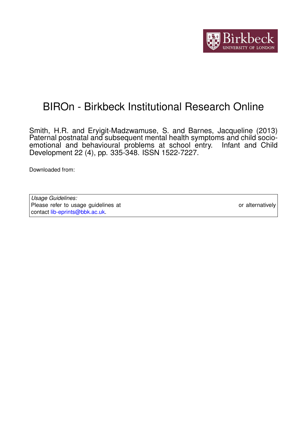

# BIROn - Birkbeck Institutional Research Online

Smith, H.R. and Eryigit-Madzwamuse, S. and Barnes, Jacqueline (2013) Paternal postnatal and subsequent mental health symptoms and child socioemotional and behavioural problems at school entry. Infant and Child Development 22 (4), pp. 335-348. ISSN 1522-7227.

Downloaded from: <https://eprints.bbk.ac.uk/id/eprint/7316/>

*Usage Guidelines:* Please refer to usage guidelines at <https://eprints.bbk.ac.uk/policies.html> or alternatively contact [lib-eprints@bbk.ac.uk.](mailto:lib-eprints@bbk.ac.uk)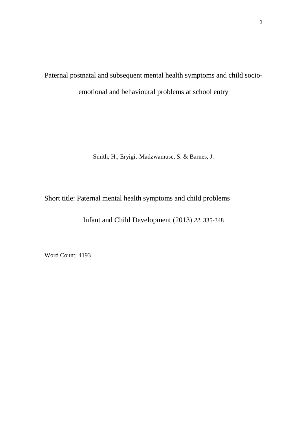Paternal postnatal and subsequent mental health symptoms and child socioemotional and behavioural problems at school entry

Smith, H., Eryigit-Madzwamuse, S. & Barnes, J.

Short title: Paternal mental health symptoms and child problems

Infant and Child Development (2013) *22,* 335-348

Word Count: 4193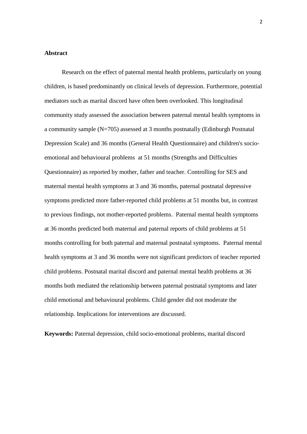# **Abstract**

 Research on the effect of paternal mental health problems, particularly on young children, is based predominantly on clinical levels of depression. Furthermore, potential mediators such as marital discord have often been overlooked. This longitudinal community study assessed the association between paternal mental health symptoms in a community sample (N=705) assessed at 3 months postnatally (Edinburgh Postnatal Depression Scale) and 36 months (General Health Questionnaire) and children's socioemotional and behavioural problems at 51 months (Strengths and Difficulties Questionnaire) as reported by mother, father and teacher. Controlling for SES and maternal mental health symptoms at 3 and 36 months, paternal postnatal depressive symptoms predicted more father-reported child problems at 51 months but, in contrast to previous findings, not mother-reported problems. Paternal mental health symptoms at 36 months predicted both maternal and paternal reports of child problems at 51 months controlling for both paternal and maternal postnatal symptoms. Paternal mental health symptoms at 3 and 36 months were not significant predictors of teacher reported child problems. Postnatal marital discord and paternal mental health problems at 36 months both mediated the relationship between paternal postnatal symptoms and later child emotional and behavioural problems. Child gender did not moderate the relationship. Implications for interventions are discussed.

**Keywords:** Paternal depression, child socio-emotional problems, marital discord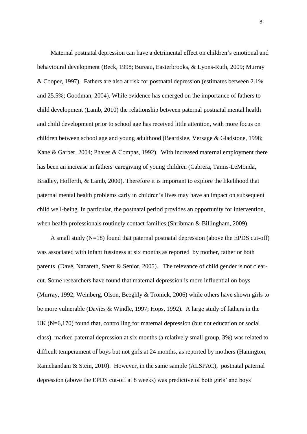Maternal postnatal depression can have a detrimental effect on children's emotional and behavioural development (Beck, 1998; Bureau, Easterbrooks, & Lyons-Ruth, 2009; Murray & Cooper, 1997). Fathers are also at risk for postnatal depression (estimates between 2.1% and 25.5%; Goodman, 2004). While evidence has emerged on the importance of fathers to child development (Lamb, 2010) the relationship between paternal postnatal mental health and child development prior to school age has received little attention, with more focus on children between school age and young adulthood (Beardslee, Versage & Gladstone, 1998; Kane & Garber, 2004; Phares & Compas, 1992). With increased maternal employment there has been an increase in fathers' caregiving of young children (Cabrera, Tamis-LeMonda, Bradley, Hofferth, & Lamb, 2000). Therefore it is important to explore the likelihood that paternal mental health problems early in children's lives may have an impact on subsequent child well-being. In particular, the postnatal period provides an opportunity for intervention, when health professionals routinely contact families (Shribman & Billingham, 2009).

 A small study (N=18) found that paternal postnatal depression (above the EPDS cut-off) was associated with infant fussiness at six months as reported by mother, father or both parents (Davé, Nazareth, Sherr & Senior, 2005). The relevance of child gender is not clearcut. Some researchers have found that maternal depression is more influential on boys (Murray, 1992; Weinberg, Olson, Beeghly & Tronick, 2006) while others have shown girls to be more vulnerable (Davies & Windle, 1997; Hops, 1992). A large study of fathers in the UK (N=6,170) found that, controlling for maternal depression (but not education or social class), marked paternal depression at six months (a relatively small group, 3%) was related to difficult temperament of boys but not girls at 24 months, as reported by mothers (Hanington, Ramchandani & Stein, 2010). However, in the same sample (ALSPAC), postnatal paternal depression (above the EPDS cut-off at 8 weeks) was predictive of both girls' and boys'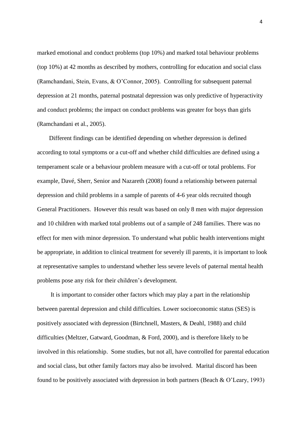marked emotional and conduct problems (top 10%) and marked total behaviour problems (top 10%) at 42 months as described by mothers, controlling for education and social class (Ramchandani, Stein, Evans, & O'Connor, 2005). Controlling for subsequent paternal depression at 21 months, paternal postnatal depression was only predictive of hyperactivity and conduct problems; the impact on conduct problems was greater for boys than girls (Ramchandani et al., 2005).

 Different findings can be identified depending on whether depression is defined according to total symptoms or a cut-off and whether child difficulties are defined using a temperament scale or a behaviour problem measure with a cut-off or total problems. For example, Davé, Sherr, Senior and Nazareth (2008) found a relationship between paternal depression and child problems in a sample of parents of 4-6 year olds recruited though General Practitioners. However this result was based on only 8 men with major depression and 10 children with marked total problems out of a sample of 248 families. There was no effect for men with minor depression. To understand what public health interventions might be appropriate, in addition to clinical treatment for severely ill parents, it is important to look at representative samples to understand whether less severe levels of paternal mental health problems pose any risk for their children's development.

 It is important to consider other factors which may play a part in the relationship between parental depression and child difficulties. Lower socioeconomic status (SES) is positively associated with depression (Birtchnell, Masters, & Deahl, 1988) and child difficulties (Meltzer, Gatward, Goodman, & Ford, 2000), and is therefore likely to be involved in this relationship. Some studies, but not all, have controlled for parental education and social class, but other family factors may also be involved. Marital discord has been found to be positively associated with depression in both partners (Beach & O'Leary, 1993)

4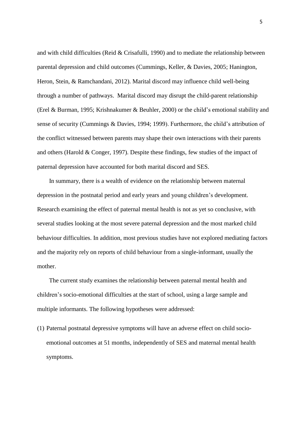and with child difficulties (Reid & Crisafulli, 1990) and to mediate the relationship between parental depression and child outcomes (Cummings, Keller, & Davies, 2005; Hanington, Heron, Stein, & Ramchandani, 2012). Marital discord may influence child well-being through a number of pathways. Marital discord may disrupt the child-parent relationship (Erel & Burman, 1995; Krishnakumer & Beuhler, 2000) or the child's emotional stability and sense of security (Cummings & Davies, 1994; 1999). Furthermore, the child's attribution of the conflict witnessed between parents may shape their own interactions with their parents and others (Harold & Conger, 1997). Despite these findings, few studies of the impact of paternal depression have accounted for both marital discord and SES.

 In summary, there is a wealth of evidence on the relationship between maternal depression in the postnatal period and early years and young children's development. Research examining the effect of paternal mental health is not as yet so conclusive, with several studies looking at the most severe paternal depression and the most marked child behaviour difficulties. In addition, most previous studies have not explored mediating factors and the majority rely on reports of child behaviour from a single-informant, usually the mother.

 The current study examines the relationship between paternal mental health and children's socio-emotional difficulties at the start of school, using a large sample and multiple informants. The following hypotheses were addressed:

(1) Paternal postnatal depressive symptoms will have an adverse effect on child socioemotional outcomes at 51 months, independently of SES and maternal mental health symptoms.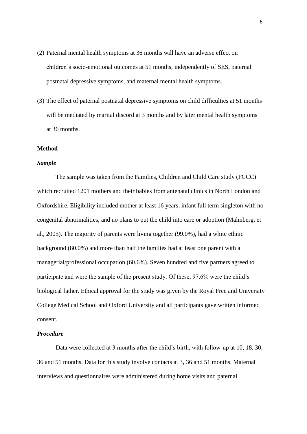- (2) Paternal mental health symptoms at 36 months will have an adverse effect on children's socio-emotional outcomes at 51 months, independently of SES, paternal postnatal depressive symptoms, and maternal mental health symptoms.
- (3) The effect of paternal postnatal depressive symptoms on child difficulties at 51 months will be mediated by marital discord at 3 months and by later mental health symptoms at 36 months.

# **Method**

#### *Sample*

The sample was taken from the Families, Children and Child Care study (FCCC) which recruited 1201 mothers and their babies from antenatal clinics in North London and Oxfordshire. Eligibility included mother at least 16 years, infant full term singleton with no congenital abnormalities, and no plans to put the child into care or adoption (Malmberg, et al., 2005). The majority of parents were living together (99.0%), had a white ethnic background (80.0%) and more than half the families had at least one parent with a managerial/professional occupation (60.6%). Seven hundred and five partners agreed to participate and were the sample of the present study. Of these, 97.6% were the child's biological father. Ethical approval for the study was given by the Royal Free and University College Medical School and Oxford University and all participants gave written informed consent.

# *Procedure*

Data were collected at 3 months after the child's birth, with follow-up at 10, 18, 30, 36 and 51 months. Data for this study involve contacts at 3, 36 and 51 months. Maternal interviews and questionnaires were administered during home visits and paternal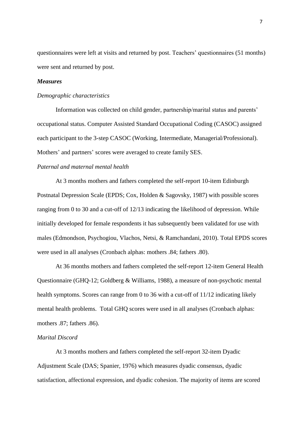questionnaires were left at visits and returned by post. Teachers' questionnaires (51 months) were sent and returned by post.

# *Measures*

#### *Demographic characteristics*

Information was collected on child gender, partnership/marital status and parents' occupational status. Computer Assisted Standard Occupational Coding (CASOC) assigned each participant to the 3-step CASOC (Working, Intermediate, Managerial/Professional). Mothers' and partners' scores were averaged to create family SES.

# *Paternal and maternal mental health*

At 3 months mothers and fathers completed the self-report 10-item Edinburgh Postnatal Depression Scale (EPDS; Cox, Holden & Sagovsky, 1987) with possible scores ranging from 0 to 30 and a cut-off of 12/13 indicating the likelihood of depression. While initially developed for female respondents it has subsequently been validated for use with males (Edmondson, Psychogiou, Vlachos, Netsi, & Ramchandani, 2010). Total EPDS scores were used in all analyses (Cronbach alphas: mothers .84; fathers .80).

At 36 months mothers and fathers completed the self-report 12-item General Health Questionnaire (GHQ-12; Goldberg & Williams, 1988), a measure of non-psychotic mental health symptoms. Scores can range from 0 to 36 with a cut-off of 11/12 indicating likely mental health problems. Total GHQ scores were used in all analyses (Cronbach alphas: mothers .87; fathers .86).

# *Marital Discord*

At 3 months mothers and fathers completed the self-report 32-item Dyadic Adjustment Scale (DAS; Spanier, 1976) which measures dyadic consensus, dyadic satisfaction, affectional expression, and dyadic cohesion. The majority of items are scored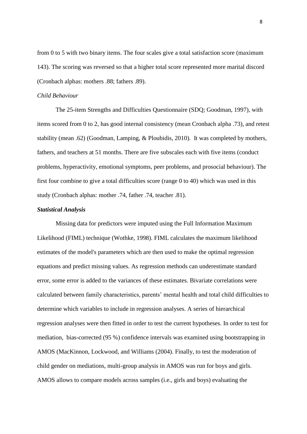from 0 to 5 with two binary items. The four scales give a total satisfaction score (maximum 143). The scoring was reversed so that a higher total score represented more marital discord (Cronbach alphas: mothers .88; fathers .89).

#### *Child Behaviour*

The 25-item Strengths and Difficulties Questionnaire (SDQ; Goodman, 1997), with items scored from 0 to 2, has good internal consistency (mean Cronbach alpha .73), and retest stability (mean .62) (Goodman, Lamping, & Ploubidis, 2010). It was completed by mothers, fathers, and teachers at 51 months. There are five subscales each with five items (conduct problems, hyperactivity, emotional symptoms, peer problems, and prosocial behaviour). The first four combine to give a total difficulties score (range 0 to 40) which was used in this study (Cronbach alphas: mother .74, father .74, teacher .81).

# *Statistical Analysis*

Missing data for predictors were imputed using the Full Information Maximum Likelihood (FIML) technique (Wothke, 1998). FIML calculates the maximum likelihood estimates of the model's parameters which are then used to make the optimal regression equations and predict missing values. As regression methods can underestimate standard error, some error is added to the variances of these estimates. Bivariate correlations were calculated between family characteristics, parents' mental health and total child difficulties to determine which variables to include in regression analyses. A series of hierarchical regression analyses were then fitted in order to test the current hypotheses. In order to test for mediation, bias-corrected (95 %) confidence intervals was examined using bootstrapping in AMOS (MacKinnon, Lockwood, and Williams (2004). Finally, to test the moderation of child gender on mediations, multi-group analysis in AMOS was run for boys and girls. AMOS allows to compare models across samples (i.e., girls and boys) evaluating the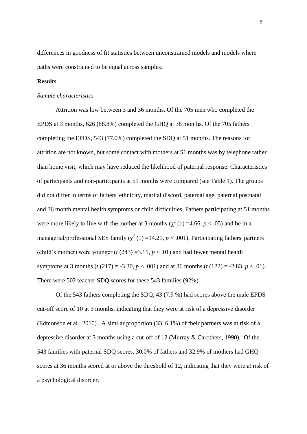differences in goodness of fit statistics between unconstrained models and models where paths were constrained to be equal across samples.

# **Results**

# *Sample characteristics*

Attrition was low between 3 and 36 months. Of the 705 men who completed the EPDS at 3 months, 626 (88.8%) completed the GHQ at 36 months. Of the 705 fathers completing the EPDS, 543 (77.0%) completed the SDQ at 51 months. The reasons for attrition are not known, but some contact with mothers at 51 months was by telephone rather than home visit, which may have reduced the likelihood of paternal response. Characteristics of participants and non-participants at 51 months were compared (see Table 1). The groups did not differ in terms of fathers' ethnicity, marital discord, paternal age, paternal postnatal and 36 month mental health symptoms or child difficulties. Fathers participating at 51 months were more likely to live with the mother at 3 months  $(\chi^2(1) = 4.66, p < .05)$  and be in a managerial/professional SES family  $(\chi^2(1) = 14.21, p < .001)$ . Participating fathers' partners (child's mother) were younger ( $t$  (243) =3.15,  $p < .01$ ) and had fewer mental health symptoms at 3 months (*t* (217) = -3.30, *p* < .001) and at 36 months (*t* (122) = -2.83, *p* < .01). There were 502 teacher SDQ scores for these 543 families (92%).

Of the 543 fathers completing the SDQ, 43 (7.9 %) had scores above the male EPDS cut-off score of 10 at 3 months, indicating that they were at risk of a depressive disorder (Edmonson et al., 2010). A similar proportion (33, 6.1%) of their partners was at risk of a depressive disorder at 3 months using a cut-off of 12 (Murray & Carothers, 1990). Of the 543 families with paternal SDQ scores, 30.0% of fathers and 32.9% of mothers had GHQ scores at 36 months scored at or above the threshold of 12, indicating that they were at risk of a psychological disorder.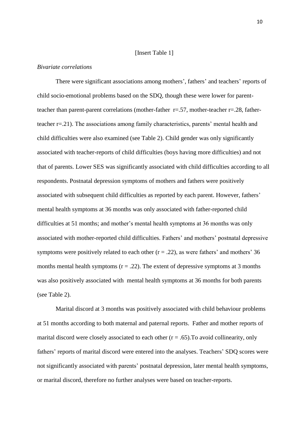#### [Insert Table 1]

#### *Bivariate correlations*

There were significant associations among mothers', fathers' and teachers' reports of child socio-emotional problems based on the SDQ, though these were lower for parentteacher than parent-parent correlations (mother-father  $r = .57$ , mother-teacher  $r = .28$ , fatherteacher r=.21). The associations among family characteristics, parents' mental health and child difficulties were also examined (see Table 2). Child gender was only significantly associated with teacher-reports of child difficulties (boys having more difficulties) and not that of parents. Lower SES was significantly associated with child difficulties according to all respondents. Postnatal depression symptoms of mothers and fathers were positively associated with subsequent child difficulties as reported by each parent. However, fathers' mental health symptoms at 36 months was only associated with father-reported child difficulties at 51 months; and mother's mental health symptoms at 36 months was only associated with mother-reported child difficulties. Fathers' and mothers' postnatal depressive symptoms were positively related to each other  $(r = .22)$ , as were fathers' and mothers' 36 months mental health symptoms  $(r = .22)$ . The extent of depressive symptoms at 3 months was also positively associated with mental health symptoms at 36 months for both parents (see Table 2).

Marital discord at 3 months was positively associated with child behaviour problems at 51 months according to both maternal and paternal reports. Father and mother reports of marital discord were closely associated to each other  $(r = .65)$ . To avoid collinearity, only fathers' reports of marital discord were entered into the analyses. Teachers' SDQ scores were not significantly associated with parents' postnatal depression, later mental health symptoms, or marital discord, therefore no further analyses were based on teacher-reports.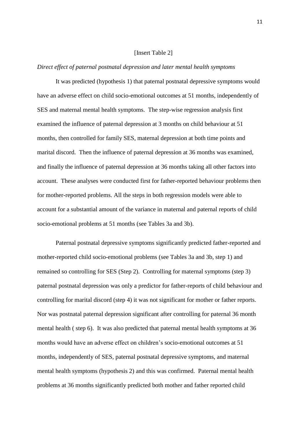#### [Insert Table 2]

#### *Direct effect of paternal postnatal depression and later mental health symptoms*

It was predicted (hypothesis 1) that paternal postnatal depressive symptoms would have an adverse effect on child socio-emotional outcomes at 51 months, independently of SES and maternal mental health symptoms. The step-wise regression analysis first examined the influence of paternal depression at 3 months on child behaviour at 51 months, then controlled for family SES, maternal depression at both time points and marital discord. Then the influence of paternal depression at 36 months was examined, and finally the influence of paternal depression at 36 months taking all other factors into account. These analyses were conducted first for father-reported behaviour problems then for mother-reported problems. All the steps in both regression models were able to account for a substantial amount of the variance in maternal and paternal reports of child socio-emotional problems at 51 months (see Tables 3a and 3b).

Paternal postnatal depressive symptoms significantly predicted father-reported and mother-reported child socio-emotional problems (see Tables 3a and 3b, step 1) and remained so controlling for SES (Step 2). Controlling for maternal symptoms (step 3) paternal postnatal depression was only a predictor for father-reports of child behaviour and controlling for marital discord (step 4) it was not significant for mother or father reports. Nor was postnatal paternal depression significant after controlling for paternal 36 month mental health ( step 6). It was also predicted that paternal mental health symptoms at 36 months would have an adverse effect on children's socio-emotional outcomes at 51 months, independently of SES, paternal postnatal depressive symptoms, and maternal mental health symptoms (hypothesis 2) and this was confirmed. Paternal mental health problems at 36 months significantly predicted both mother and father reported child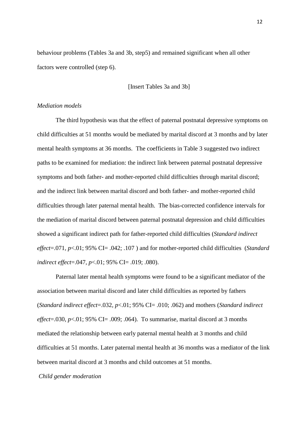behaviour problems (Tables 3a and 3b, step5) and remained significant when all other factors were controlled (step 6).

[Insert Tables 3a and 3b]

# *Mediation models*

The third hypothesis was that the effect of paternal postnatal depressive symptoms on child difficulties at 51 months would be mediated by marital discord at 3 months and by later mental health symptoms at 36 months. The coefficients in Table 3 suggested two indirect paths to be examined for mediation: the indirect link between paternal postnatal depressive symptoms and both father- and mother-reported child difficulties through marital discord; and the indirect link between marital discord and both father- and mother-reported child difficulties through later paternal mental health. The bias-corrected confidence intervals for the mediation of marital discord between paternal postnatal depression and child difficulties showed a significant indirect path for father-reported child difficulties (*Standard indirect effect*=.071*, p*<.01; 95% CI= .042; .107 ) and for mother-reported child difficulties (*Standard indirect effect*=.047, *p*<.01; 95% CI= .019; .080).

Paternal later mental health symptoms were found to be a significant mediator of the association between marital discord and later child difficulties as reported by fathers (*Standard indirect effect*=.032*, p*<.01; 95% CI= .010; .062) and mothers (*Standard indirect*   $effect = .030, p < .01; 95\%$  CI $= .009; .064$ ). To summarise, marital discord at 3 months mediated the relationship between early paternal mental health at 3 months and child difficulties at 51 months. Later paternal mental health at 36 months was a mediator of the link between marital discord at 3 months and child outcomes at 51 months.

*Child gender moderation*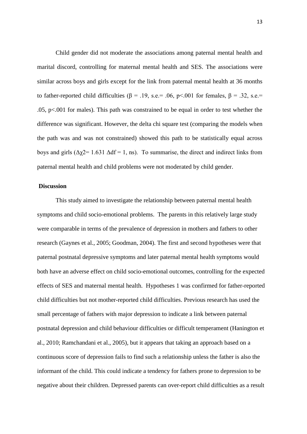Child gender did not moderate the associations among paternal mental health and marital discord, controlling for maternal mental health and SES. The associations were similar across boys and girls except for the link from paternal mental health at 36 months to father-reported child difficulties ( $\beta$  = .19, s.e.= .06, p<.001 for females,  $\beta$  = .32, s.e.= .05, p<.001 for males). This path was constrained to be equal in order to test whether the difference was significant. However, the delta chi square test (comparing the models when the path was and was not constrained) showed this path to be statistically equal across boys and girls  $(\Delta \chi) = 1.631 \Delta df = 1$ , ns). To summarise, the direct and indirect links from paternal mental health and child problems were not moderated by child gender.

# **Discussion**

This study aimed to investigate the relationship between paternal mental health symptoms and child socio-emotional problems. The parents in this relatively large study were comparable in terms of the prevalence of depression in mothers and fathers to other research (Gaynes et al., 2005; Goodman, 2004). The first and second hypotheses were that paternal postnatal depressive symptoms and later paternal mental health symptoms would both have an adverse effect on child socio-emotional outcomes, controlling for the expected effects of SES and maternal mental health. Hypotheses 1 was confirmed for father-reported child difficulties but not mother-reported child difficulties. Previous research has used the small percentage of fathers with major depression to indicate a link between paternal postnatal depression and child behaviour difficulties or difficult temperament (Hanington et al., 2010; Ramchandani et al., 2005), but it appears that taking an approach based on a continuous score of depression fails to find such a relationship unless the father is also the informant of the child. This could indicate a tendency for fathers prone to depression to be negative about their children. Depressed parents can over-report child difficulties as a result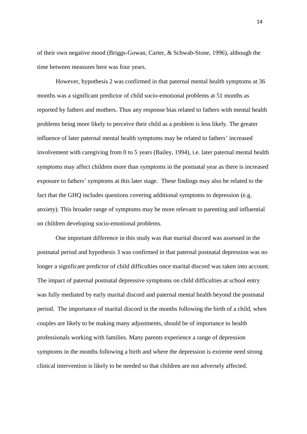of their own negative mood (Briggs-Gowan, Carter, & Schwab-Stone, 1996), although the time between measures here was four years.

However, hypothesis 2 was confirmed in that paternal mental health symptoms at 36 months was a significant predictor of child socio-emotional problems at 51 months as reported by fathers and mothers. Thus any response bias related to fathers with mental health problems being more likely to perceive their child as a problem is less likely. The greater influence of later paternal mental health symptoms may be related to fathers' increased involvement with caregiving from 0 to 5 years (Bailey, 1994), i.e. later paternal mental health symptoms may affect children more than symptoms in the postnatal year as there is increased exposure to fathers' symptoms at this later stage. These findings may also be related to the fact that the GHQ includes questions covering additional symptoms to depression (e.g. anxiety). This broader range of symptoms may be more relevant to parenting and influential on children developing socio-emotional problems.

One important difference in this study was that marital discord was assessed in the postnatal period and hypothesis 3 was confirmed in that paternal postnatal depression was no longer a significant predictor of child difficulties once marital discord was taken into account. The impact of paternal postnatal depressive symptoms on child difficulties at school entry was fully mediated by early marital discord and paternal mental health beyond the postnatal period. The importance of marital discord in the months following the birth of a child, when couples are likely to be making many adjustments, should be of importance to health professionals working with families. Many parents experience a range of depression symptoms in the months following a birth and where the depression is extreme need strong clinical intervention is likely to be needed so that children are not adversely affected.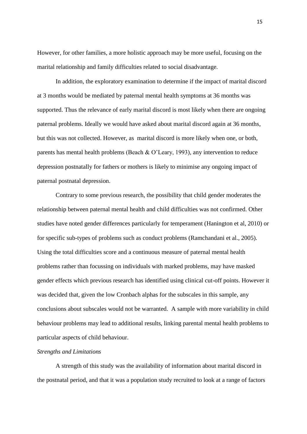However, for other families, a more holistic approach may be more useful, focusing on the marital relationship and family difficulties related to social disadvantage.

In addition, the exploratory examination to determine if the impact of marital discord at 3 months would be mediated by paternal mental health symptoms at 36 months was supported. Thus the relevance of early marital discord is most likely when there are ongoing paternal problems. Ideally we would have asked about marital discord again at 36 months, but this was not collected. However, as marital discord is more likely when one, or both, parents has mental health problems (Beach & O'Leary, 1993), any intervention to reduce depression postnatally for fathers or mothers is likely to minimise any ongoing impact of paternal postnatal depression.

Contrary to some previous research, the possibility that child gender moderates the relationship between paternal mental health and child difficulties was not confirmed. Other studies have noted gender differences particularly for temperament (Hanington et al, 2010) or for specific sub-types of problems such as conduct problems (Ramchandani et al., 2005). Using the total difficulties score and a continuous measure of paternal mental health problems rather than focussing on individuals with marked problems, may have masked gender effects which previous research has identified using clinical cut-off points. However it was decided that, given the low Cronbach alphas for the subscales in this sample, any conclusions about subscales would not be warranted. A sample with more variability in child behaviour problems may lead to additional results, linking parental mental health problems to particular aspects of child behaviour.

#### *Strengths and Limitations*

A strength of this study was the availability of information about marital discord in the postnatal period, and that it was a population study recruited to look at a range of factors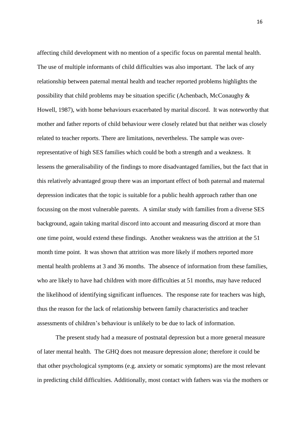affecting child development with no mention of a specific focus on parental mental health. The use of multiple informants of child difficulties was also important. The lack of any relationship between paternal mental health and teacher reported problems highlights the possibility that child problems may be situation specific (Achenbach, McConaughy  $\&$ Howell, 1987), with home behaviours exacerbated by marital discord. It was noteworthy that mother and father reports of child behaviour were closely related but that neither was closely related to teacher reports. There are limitations, nevertheless. The sample was overrepresentative of high SES families which could be both a strength and a weakness. It lessens the generalisability of the findings to more disadvantaged families, but the fact that in this relatively advantaged group there was an important effect of both paternal and maternal depression indicates that the topic is suitable for a public health approach rather than one focussing on the most vulnerable parents. A similar study with families from a diverse SES background, again taking marital discord into account and measuring discord at more than one time point, would extend these findings. Another weakness was the attrition at the 51 month time point. It was shown that attrition was more likely if mothers reported more mental health problems at 3 and 36 months. The absence of information from these families, who are likely to have had children with more difficulties at 51 months, may have reduced the likelihood of identifying significant influences. The response rate for teachers was high, thus the reason for the lack of relationship between family characteristics and teacher assessments of children's behaviour is unlikely to be due to lack of information.

The present study had a measure of postnatal depression but a more general measure of later mental health. The GHQ does not measure depression alone; therefore it could be that other psychological symptoms (e.g. anxiety or somatic symptoms) are the most relevant in predicting child difficulties. Additionally, most contact with fathers was via the mothers or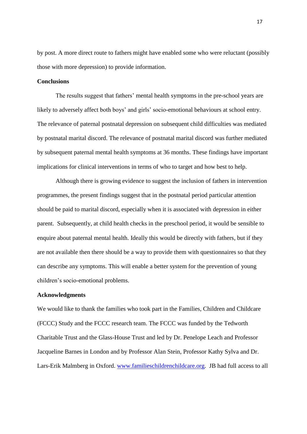by post. A more direct route to fathers might have enabled some who were reluctant (possibly those with more depression) to provide information.

### **Conclusions**

The results suggest that fathers' mental health symptoms in the pre-school years are likely to adversely affect both boys' and girls' socio-emotional behaviours at school entry. The relevance of paternal postnatal depression on subsequent child difficulties was mediated by postnatal marital discord. The relevance of postnatal marital discord was further mediated by subsequent paternal mental health symptoms at 36 months. These findings have important implications for clinical interventions in terms of who to target and how best to help.

Although there is growing evidence to suggest the inclusion of fathers in intervention programmes, the present findings suggest that in the postnatal period particular attention should be paid to marital discord, especially when it is associated with depression in either parent. Subsequently, at child health checks in the preschool period, it would be sensible to enquire about paternal mental health. Ideally this would be directly with fathers, but if they are not available then there should be a way to provide them with questionnaires so that they can describe any symptoms. This will enable a better system for the prevention of young children's socio-emotional problems.

### **Acknowledgments**

We would like to thank the families who took part in the Families, Children and Childcare (FCCC) Study and the FCCC research team. The FCCC was funded by the Tedworth Charitable Trust and the Glass-House Trust and led by Dr. Penelope Leach and Professor Jacqueline Barnes in London and by Professor Alan Stein, Professor Kathy Sylva and Dr. Lars-Erik Malmberg in Oxford. [www.familieschildrenchildcare.org.](http://www.familieschildrenchildcare.org/) JB had full access to all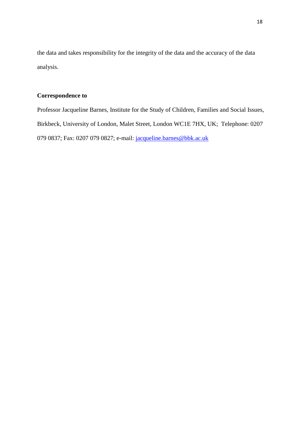the data and takes responsibility for the integrity of the data and the accuracy of the data analysis.

# **Correspondence to**

Professor Jacqueline Barnes, Institute for the Study of Children, Families and Social Issues, Birkbeck, University of London, Malet Street, London WC1E 7HX, UK; Telephone: 0207 079 0837; Fax: 0207 079 0827; e-mail: [jacqueline.barnes@bbk.ac.uk](mailto:jacqueline.barnes@bbk.ac.uk)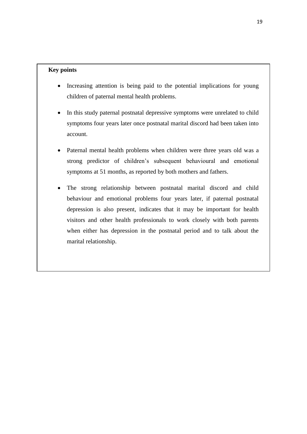# **Key points**

- Increasing attention is being paid to the potential implications for young children of paternal mental health problems.
- In this study paternal postnatal depressive symptoms were unrelated to child symptoms four years later once postnatal marital discord had been taken into account.
- Paternal mental health problems when children were three years old was a strong predictor of children's subsequent behavioural and emotional symptoms at 51 months, as reported by both mothers and fathers.
- The strong relationship between postnatal marital discord and child behaviour and emotional problems four years later, if paternal postnatal depression is also present, indicates that it may be important for health visitors and other health professionals to work closely with both parents when either has depression in the postnatal period and to talk about the marital relationship.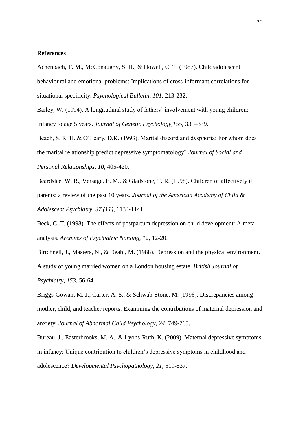#### **References**

Achenbach, T. M., McConaughy, S. H., & Howell, C. T. (1987). Child/adolescent behavioural and emotional problems: Implications of cross-informant correlations for situational specificity. *Psychological Bulletin, 101*, 213-232.

Bailey, W. (1994). A longitudinal study of fathers' involvement with young children: Infancy to age 5 years. *Journal of Genetic Psychology,155,* 331–339.

Beach, S. R. H. & O'Leary, D.K. (1993). Marital discord and dysphoria: For whom does the marital relationship predict depressive symptomatology? *Journal of Social and Personal Relationships, 10*, 405-420.

Beardslee, W. R., Versage, E. M., & Gladstone, T. R. (1998). Children of affectively ill parents: a review of the past 10 years. *Journal of the American Academy of Child & Adolescent Psychiatry*, *37 (11),* 1134-1141.

Beck, C. T. (1998). The effects of postpartum depression on child development: A metaanalysis. *Archives of Psychiatric Nursing, 12*, 12-20.

Birtchnell, J., Masters, N., & Deahl, M. (1988). Depression and the physical environment. A study of young married women on a London housing estate. *British Journal of Psychiatry, 153,* 56-64.

Briggs-Gowan, M. J., Carter, A. S., & Schwab-Stone, M. (1996). Discrepancies among mother, child, and teacher reports: Examining the contributions of maternal depression and anxiety. *Journal of Abnormal Child Psychology, 24*, 749-765.

Bureau, J., Easterbrooks, M. A., & Lyons-Ruth, K. (2009). Maternal depressive symptoms in infancy: Unique contribution to children's depressive symptoms in childhood and adolescence? *Developmental Psychopathology, 21*, 519-537.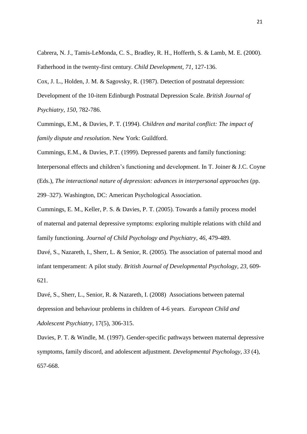Cabrera, N. J., Tamis-LeMonda, C. S., Bradley, R. H., Hofferth, S. & Lamb, M. E. (2000). Fatherhood in the twenty-first century. *Child Development, 71*, 127-136.

Cox, J. L., Holden, J. M. & Sagovsky, R. (1987). Detection of postnatal depression: Development of the 10-item Edinburgh Postnatal Depression Scale. *British Journal of Psychiatry, 150*, 782-786.

Cummings, E.M., & Davies, P. T. (1994). *Children and marital conflict: The impact of family dispute and resolution*. New York: Guildford.

Cummings, E.M., & Davies, P.T. (1999). Depressed parents and family functioning:

Interpersonal effects and children's functioning and development. In T. Joiner & J.C. Coyne

(Eds.), *The interactional nature of depression: advances in interpersonal approaches* (pp.

299–327). Washington, DC: American Psychological Association.

Cummings, E. M., Keller, P. S. & Davies, P. T. (2005). Towards a family process model of maternal and paternal depressive symptoms: exploring multiple relations with child and family functioning. *Journal of Child Psychology and Psychiatry, 46*, 479-489.

Davé, S., Nazareth, I., Sherr, L. & Senior, R. (2005). The association of paternal mood and infant temperament: A pilot study. *British Journal of Developmental Psychology, 23,* 609- 621.

Davé, S., Sherr, L., Senior, R. & Nazareth, I. (2008) Associations between paternal depression and behaviour problems in children of 4-6 years. *European Child and Adolescent Psychiatry*, 17(5), 306-315.

Davies, P. T. & Windle, M. (1997). Gender-specific pathways between maternal depressive symptoms, family discord, and adolescent adjustment. *Developmental Psychology, 33* (4), 657-668.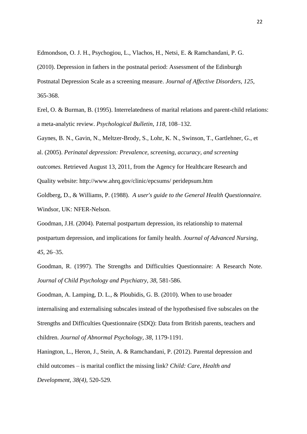Edmondson, O. J. H., Psychogiou, L., Vlachos, H., Netsi, E. & Ramchandani, P. G. (2010). Depression in fathers in the postnatal period: Assessment of the Edinburgh Postnatal Depression Scale as a screening measure. *Journal of Affective Disorders, 125*, 365-368.

Erel, O. & Burman, B. (1995). Interrelatedness of marital relations and parent-child relations: a meta-analytic review. *Psychological Bulletin*, *118,* 108–132.

Gaynes, B. N., Gavin, N., Meltzer-Brody, S., Lohr, K. N., Swinson, T., Gartlehner, G., et al. (2005). *Perinatal depression: Prevalence, screening, accuracy, and screening outcomes.* Retrieved August 13, 2011, from the Agency for Healthcare Research and Quality website: [http://www.ahrq.gov/clinic/epcsums/ peridepsum.htm](http://www.ahrq.gov/clinic/epcsums/%20peridepsum.htm)

Goldberg, D., & Williams, P. (1988). *A user's guide to the General Health Questionnaire.*  Windsor, UK: NFER-Nelson.

Goodman, J.H. (2004). Paternal postpartum depression, its relationship to maternal postpartum depression, and implications for family health. *Journal of Advanced Nursing*, *45,* 26–35.

Goodman, R. (1997). The Strengths and Difficulties Questionnaire: A Research Note. *Journal of Child Psychology and Psychiatry*, *38*, 581-586.

Goodman, A. Lamping, D. L., & Ploubidis, G. B. (2010). When to use broader internalising and externalising subscales instead of the hypothesised five subscales on the Strengths and Difficulties Questionnaire (SDQ): Data from British parents, teachers and children. *Journal of Abnormal Psychology, 38*, 1179-1191.

Hanington, L., Heron, J., Stein, A. & Ramchandani, P. (2012). Parental depression and child outcomes – is marital conflict the missing link? *Child: Care, Health and Development, 38(4),* 520-529*.*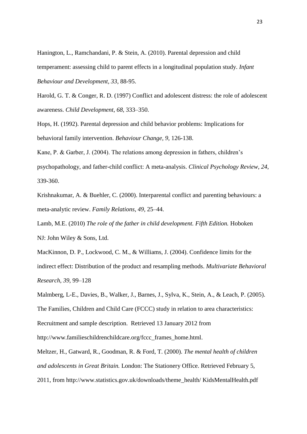Hanington, L., Ramchandani, P. & Stein, A. (2010). Parental depression and child temperament: assessing child to parent effects in a longitudinal population study. *Infant Behaviour and Development, 33*, 88-95.

Harold, G. T. & Conger, R. D. (1997) Conflict and adolescent distress: the role of adolescent awareness. *Child Development*, *68,* 333–350.

Hops, H. (1992). Parental depression and child behavior problems: Implications for behavioral family intervention. *Behaviour Change, 9*, 126-138.

Kane, P. & Garber, J. (2004). The relations among depression in fathers, children's psychopathology, and father-child conflict: A meta-analysis. *Clinical Psychology Review, 24*, 339-360.

Krishnakumar, A. & Buehler, C. (2000). Interparental conflict and parenting behaviours: a meta-analytic review. *Family Relations*, *49,* 25–44.

Lamb, M.E. (2010) *The role of the father in child development. Fifth Edition.* Hoboken NJ: John Wiley & Sons, Ltd.

MacKinnon, D. P., Lockwood, C. M., & Williams, J. (2004). Confidence limits for the indirect effect: Distribution of the product and resampling methods. *Multivariate Behavioral Research*, *39*, 99–128

Malmberg, L-E., Davies, B., Walker, J., Barnes, J., Sylva, K., Stein, A., & Leach, P. (2005). The Families, Children and Child Care (FCCC) study in relation to area characteristics: Recruitment and sample description. Retrieved 13 January 2012 from

http://www.familieschildrenchildcare.org/fccc\_frames\_home.html.

Meltzer, H., Gatward, R., Goodman, R. & Ford, T. (2000). *The mental health of children and adolescents in Great Britain.* London: The Stationery Office. Retrieved February 5, 2011, from [http://www.statistics.gov.uk/downloads/theme\\_health/ KidsMentalHealth.pdf](http://www.statistics.gov.uk/downloads/theme_health/%20KidsMentalHealth.%20pdf)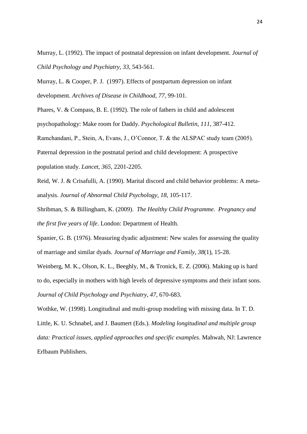Murray, L. (1992). The impact of postnatal depression on infant development. *Journal of Child Psychology and Psychiatry, 33*, 543-561.

Murray, L. & Cooper, P. J. (1997). Effects of postpartum depression on infant development. *Archives of Disease in Childhood, 77,* 99-101.

Phares, V. & Compass, B. E. (1992). The role of fathers in child and adolescent psychopathology: Make room for Daddy. *Psychological Bulletin, 111*, 387-412.

Ramchandani, P., Stein, A, Evans, J., O'Connor, T. & the ALSPAC study team (2005).

Paternal depression in the postnatal period and child development: A prospective

population study. *Lancet, 365,* 2201-2205.

Reid, W. J. & Crisafulli, A. (1990). Marital discord and child behavior problems: A metaanalysis. *Journal of Abnormal Child Psychology, 18*, 105-117.

Shribman, S. & Billingham, K. (2009). *The Healthy Child Programme*. *Pregnancy and the first five years of life*. London: Department of Health.

Spanier, G. B. (1976). Measuring dyadic adjustment: New scales for assessing the quality of marriage and similar dyads*. Journal of Marriage and Family, 38*(1), 15-28.

Weinberg, M. K., Olson, K. L., Beeghly, M., & Tronick, E. Z. (2006). Making up is hard to do, especially in mothers with high levels of depressive symptoms and their infant sons. *Journal of Child Psychology and Psychiatry, 47*, 670-683.

Wothke, W. (1998). Longitudinal and multi-group modeling with missing data. In T. D. Little, K. U. Schnabel, and J. Baumert (Eds.). *Modeling longitudinal and multiple group data: Practical issues, applied approaches and specific examples*. Mahwah, NJ: Lawrence Erlbaum Publishers.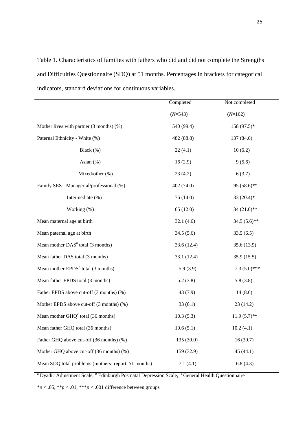Table 1. Characteristics of families with fathers who did and did not complete the Strengths and Difficulties Questionnaire (SDQ) at 51 months. Percentages in brackets for categorical indicators, standard deviations for continuous variables.

|                                                       | Completed   | Not completed   |
|-------------------------------------------------------|-------------|-----------------|
|                                                       | $(N=543)$   | $(N=162)$       |
| Mother lives with partner $(3 \text{ months})$ $(\%)$ | 540 (99.4)  | 158 (97.5)*     |
| Paternal Ethnicity - White (%)                        | 482 (88.8)  | 137 (84.6)      |
| Black (%)                                             | 22(4.1)     | 10(6.2)         |
| Asian $(\%)$                                          | 16(2.9)     | 9(5.6)          |
| Mixed/other (%)                                       | 23(4.2)     | 6(3.7)          |
| Family SES - Managerial/professional (%)              | 402 (74.0)  | 95 (58.6)**     |
| Intermediate (%)                                      | 76 (14.0)   | 33 $(20.4)$ *   |
| Working (%)                                           | 65(12.0)    | 34 (21.0)**     |
| Mean maternal age at birth                            | 32.1(4.6)   | 34.5 $(5.6)$ ** |
| Mean paternal age at birth                            | 34.5(5.6)   | 33.5(6.5)       |
| Mean mother DAS <sup>a</sup> total (3 months)         | 33.6 (12.4) | 35.6 (13.9)     |
| Mean father DAS total (3 months)                      | 33.1 (12.4) | 35.9 (15.5)     |
| Mean mother EPDS <sup>b</sup> total (3 months)        | 5.9(3.9)    | $7.3(5.0)$ ***  |
| Mean father EPDS total (3 months)                     | 5.2(3.8)    | 5.8(3.8)        |
| Father EPDS above cut-off (3 months) (%)              | 43 (7.9)    | 14(8.6)         |
| Mother EPDS above cut-off (3 months) (%)              | 33(6.1)     | 23(14.2)        |
| Mean mother $GHQ^c$ total (36 months)                 | 10.3(5.3)   | $11.9(5.7)$ **  |
| Mean father GHQ total (36 months)                     | 10.6(5.1)   | 10.2(4.1)       |
| Father GHQ above cut-off (36 months) (%)              | 135 (30.0)  | 16(30.7)        |
| Mother GHQ above cut-off (36 months) (%)              | 159 (32.9)  | 45 (44.1)       |
| Mean SDQ total problems (mothers' report, 51 months)  | 7.1(4.1)    | 6.8(4.3)        |

<sup>a</sup> Dyadic Adjustment Scale, <sup>b</sup> Edinburgh Postnatal Depression Scale, <sup>c</sup>General Health Questionnaire

 $*p < .05, **p < .01, ***p < .001$  difference between groups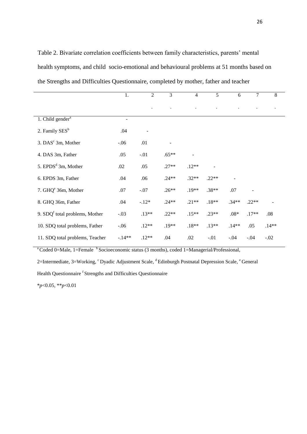Table 2. Bivariate correlation coefficients between family characteristics, parents' mental health symptoms, and child socio-emotional and behavioural problems at 51 months based on the Strengths and Difficulties Questionnaire, completed by mother, father and teacher

|                                  | 1.       | 2       | 3       | $\overline{4}$ | 5       | 6       | $\tau$  | 8       |
|----------------------------------|----------|---------|---------|----------------|---------|---------|---------|---------|
|                                  |          |         |         |                |         |         |         |         |
| 1. Child gender <sup>a</sup>     |          |         |         |                |         |         |         |         |
| 2. Family SES <sup>b</sup>       | .04      |         |         |                |         |         |         |         |
| 3. DAS <sup>c</sup> 3m, Mother   | $-.06$   | .01     |         |                |         |         |         |         |
| 4. DAS 3m, Father                | .05      | $-.01$  | $.65**$ |                |         |         |         |         |
| 5. EPDS <sup>d</sup> 3m, Mother  | .02      | .05     | $.27**$ | $.12**$        |         |         |         |         |
| 6. EPDS 3m, Father               | .04      | .06     | $.24**$ | $.32**$        | $.22**$ |         |         |         |
| 7. GHQ <sup>e</sup> 36m, Mother  | .07      | $-.07$  | $.26**$ | $.19**$        | $.38**$ | .07     |         |         |
| 8. GHQ 36m, Father               | .04      | $-.12*$ | $.24**$ | $.21**$        | $.18**$ | $.34**$ | $.22**$ |         |
| 9. $SDQf$ total problems, Mother | $-.03$   | $.13**$ | $.22**$ | $.15**$        | $.23**$ | $.08*$  | $.17**$ | .08     |
| 10. SDQ total problems, Father   | $-.06$   | $.12**$ | $.19**$ | $.18**$        | $.13**$ | $.14**$ | .05     | $.14**$ |
| 11. SDQ total problems, Teacher  | $-.14**$ | $.12**$ | .04     | .02            | $-.01$  | $-.04$  | $-.04$  | $-.02$  |

<sup>a</sup> Coded 0=Male, 1=Female <sup>b</sup> Socioeconomic status (3 months), coded 1=Managerial/Professional,

2=Intermediate, 3=Working, <sup>c</sup> Dyadic Adjustment Scale, <sup>d</sup> Edinburgh Postnatal Depression Scale, <sup>e</sup> General

Health Questionnaire <sup>f</sup> Strengths and Difficulties Questionnaire

\**p*<0.05, \*\**p*<0.01